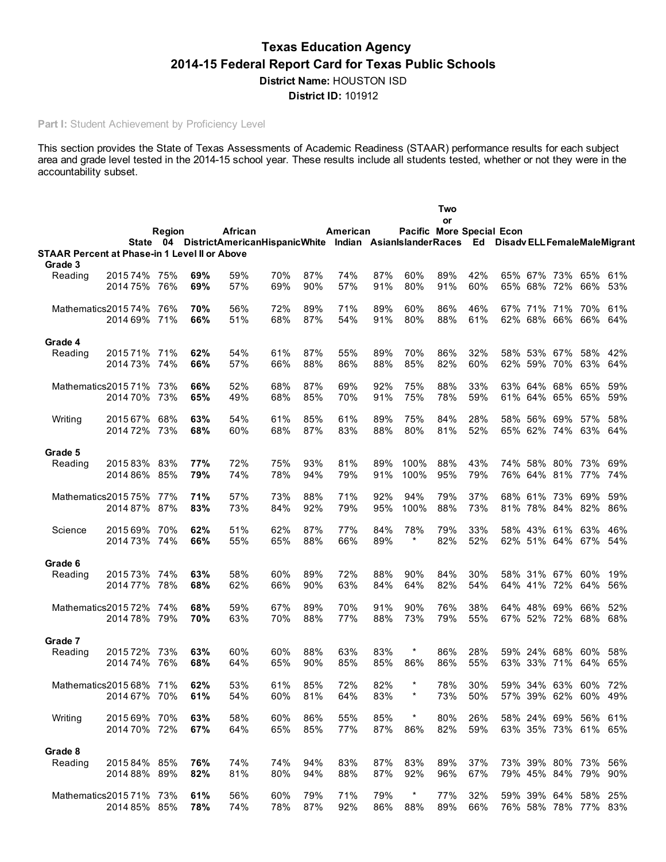# Texas Education Agency 2014-15 Federal Report Card for Texas Public Schools

District Name: HOUSTON ISD District ID: 101912

Part I: Student Achievement by Proficiency Level

This section provides the State of Texas Assessments of Academic Readiness (STAAR) performance results for each subject area and grade level tested in the 2014-15 school year. These results include all students tested, whether or not they were in the accountability subset.

|         |                                               |            |            |                                                                                                           |            |            |            |            |                                  | Two        |            |                    |                                            |                |     |
|---------|-----------------------------------------------|------------|------------|-----------------------------------------------------------------------------------------------------------|------------|------------|------------|------------|----------------------------------|------------|------------|--------------------|--------------------------------------------|----------------|-----|
|         |                                               |            |            |                                                                                                           |            |            |            |            |                                  | or         |            |                    |                                            |                |     |
|         |                                               | Region     |            | African<br>State 04 DistrictAmericanHispanicWhite Indian AsianIslanderRaces Ed DisadvELLFemaleMaleMigrant |            |            | American   |            | <b>Pacific More Special Econ</b> |            |            |                    |                                            |                |     |
|         | STAAR Percent at Phase-in 1 Level II or Above |            |            |                                                                                                           |            |            |            |            |                                  |            |            |                    |                                            |                |     |
| Grade 3 |                                               |            |            |                                                                                                           |            |            |            |            |                                  |            |            |                    |                                            |                |     |
| Reading | 2015 74%                                      | 75%        | 69%        | 59%                                                                                                       | 70%        | 87%        | 74%        | 87%        | 60%                              | 89%        | 42%        |                    | 65% 67% 73%                                | 65%            | 61% |
|         | 2014 75%                                      | 76%        | 69%        | 57%                                                                                                       | 69%        | 90%        | 57%        | 91%        | 80%                              | 91%        | 60%        |                    | 65% 68% 72%                                | 66%            | 53% |
|         | Mathematics201574%                            | 76%        | 70%        | 56%                                                                                                       | 72%        | 89%        | 71%        | 89%        | 60%                              | 86%        | 46%        |                    | 67% 71% 71%                                | 70%            | 61% |
|         | 2014 69%                                      | 71%        | 66%        | 51%                                                                                                       | 68%        | 87%        | 54%        | 91%        | 80%                              | 88%        | 61%        |                    | 62% 68% 66% 66% 64%                        |                |     |
| Grade 4 |                                               |            |            |                                                                                                           |            |            |            |            |                                  |            |            |                    |                                            |                |     |
| Reading | 201571%                                       | 71%        | 62%        | 54%                                                                                                       | 61%        | 87%        | 55%        | 89%        | 70%                              | 86%        | 32%        | 58% 53%            | 67%                                        | 58%            | 42% |
|         | 2014 73%                                      | 74%        | 66%        | 57%                                                                                                       | 66%        | 88%        | 86%        | 88%        | 85%                              | 82%        | 60%        |                    | 62% 59% 70%                                | 63%            | 64% |
|         | Mathematics201571%                            | 73%        | 66%        | 52%                                                                                                       | 68%        | 87%        | 69%        | 92%        | 75%                              | 88%        | 33%        | 63% 64%            | 68%                                        | 65%            | 59% |
|         | 2014 70%                                      | 73%        | 65%        | 49%                                                                                                       | 68%        | 85%        | 70%        | 91%        | 75%                              | 78%        | 59%        | 61% 64%            |                                            | 65% 65%        | 59% |
|         |                                               |            |            |                                                                                                           |            |            |            |            |                                  |            |            |                    |                                            |                |     |
| Writing | 2015 67%<br>2014 72%                          | 68%        | 63%<br>68% | 54%<br>60%                                                                                                | 61%<br>68% | 85%<br>87% | 61%<br>83% | 89%<br>88% | 75%<br>80%                       | 84%<br>81% | 28%<br>52% | 58% 56%            | 69%<br>65% 62% 74% 63% 64%                 | 57%            | 58% |
|         |                                               | 73%        |            |                                                                                                           |            |            |            |            |                                  |            |            |                    |                                            |                |     |
| Grade 5 |                                               |            |            |                                                                                                           |            |            |            |            |                                  |            |            |                    |                                            |                |     |
| Reading | 201583%                                       | 83%        | 77%        | 72%                                                                                                       | 75%        | 93%        | 81%        | 89%        | 100%                             | 88%        | 43%        |                    | 74% 58% 80% 73% 69%                        |                |     |
|         | 2014 86%                                      | 85%        | 79%        | 74%                                                                                                       | 78%        | 94%        | 79%        | 91%        | 100%                             | 95%        | 79%        |                    | 76% 64% 81%                                | 77%            | 74% |
|         | Mathematics201575%                            | 77%        | 71%        | 57%                                                                                                       | 73%        | 88%        | 71%        | 92%        | 94%                              | 79%        | 37%        | 68% 61%            | 73%                                        | 69%            | 59% |
|         | 2014 87%                                      | 87%        | 83%        | 73%                                                                                                       | 84%        | 92%        | 79%        | 95%        | 100%                             | 88%        | 73%        |                    | 81% 78% 84%                                | 82%            | 86% |
| Science | 2015 69%                                      | 70%        | 62%        | 51%                                                                                                       | 62%        | 87%        | 77%        | 84%        | 78%                              | 79%        | 33%        | 58% 43%            | 61%                                        | 63%            | 46% |
|         | 2014 73% 74%                                  |            | 66%        | 55%                                                                                                       | 65%        | 88%        | 66%        | 89%        | $\star$                          | 82%        | 52%        |                    | 62% 51% 64% 67% 54%                        |                |     |
| Grade 6 |                                               |            |            |                                                                                                           |            |            |            |            |                                  |            |            |                    |                                            |                |     |
| Reading | 201573%                                       | 74%        | 63%        | 58%                                                                                                       | 60%        | 89%        | 72%        | 88%        | 90%                              | 84%        | 30%        |                    | 58% 31% 67%                                | 60%            | 19% |
|         | 2014 77%                                      | 78%        | 68%        | 62%                                                                                                       | 66%        | 90%        | 63%        | 84%        | 64%                              | 82%        | 54%        |                    | 64% 41% 72% 64%                            |                | 56% |
|         |                                               |            |            |                                                                                                           |            |            |            |            |                                  |            |            |                    |                                            |                |     |
|         | Mathematics201572%<br>2014 78%                | 74%<br>79% | 68%<br>70% | 59%<br>63%                                                                                                | 67%<br>70% | 89%<br>88% | 70%<br>77% | 91%<br>88% | 90%<br>73%                       | 76%<br>79% | 38%<br>55% | 64% 48%<br>67% 52% | 69%<br>72%                                 | 66%<br>68% 68% | 52% |
|         |                                               |            |            |                                                                                                           |            |            |            |            |                                  |            |            |                    |                                            |                |     |
| Grade 7 |                                               |            |            |                                                                                                           |            |            |            |            |                                  |            |            |                    |                                            |                |     |
| Reading | 201572%                                       | 73%        | 63%        | 60%                                                                                                       | 60%        | 88%        | 63%        | 83%        | $\star$                          | 86%        | 28%        | 59% 24%            | 68%                                        | 60%            | 58% |
|         | 2014 74%                                      | 76%        | 68%        | 64%                                                                                                       | 65%        | 90%        | 85%        | 85%        | 86%                              | 86%        | 55%        | 63% 33%            |                                            | 71% 64%        | 65% |
|         | Mathematics2015 68% 71%                       |            | 62%        | 53%                                                                                                       | 61%        | 85%        | 72%        | 82%        | $\star$                          | 78%        | 30%        |                    | 59% 34% 63% 60% 72%                        |                |     |
|         | 2014 67% 70%                                  |            | 61%        | 54%                                                                                                       | 60%        | 81%        | 64%        | 83%        | $\ast$                           | 73%        | 50%        |                    | 57% 39% 62% 60% 49%                        |                |     |
| Writing | 2015 69% 70%                                  |            | 63%        | 58%                                                                                                       | 60%        | 86%        | 55%        | 85%        | $^\star$                         | 80%        | 26%        |                    | 58% 24% 69% 56% 61%                        |                |     |
|         | 2014 70% 72%                                  |            | 67%        | 64%                                                                                                       | 65%        | 85%        | 77%        | 87%        | 86%                              | 82%        | 59%        |                    | 63% 35% 73% 61% 65%                        |                |     |
|         |                                               |            |            |                                                                                                           |            |            |            |            |                                  |            |            |                    |                                            |                |     |
| Grade 8 |                                               |            |            |                                                                                                           |            |            |            |            |                                  |            |            |                    |                                            |                |     |
| Reading | 2015 84% 85%<br>2014 88% 89%                  |            | 76%<br>82% | 74%<br>81%                                                                                                | 74%<br>80% | 94%<br>94% | 83%<br>88% | 87%<br>87% | 83%<br>92%                       | 89%<br>96% | 37%<br>67% |                    | 73% 39% 80% 73% 56%<br>79% 45% 84% 79% 90% |                |     |
|         |                                               |            |            |                                                                                                           |            |            |            |            |                                  |            |            |                    |                                            |                |     |
|         | Mathematics201571% 73%                        |            | 61%        | 56%                                                                                                       | 60%        | 79%        | 71%        | 79%        | $\ast$                           | 77%        | 32%        |                    | 59% 39% 64% 58%                            |                | 25% |
|         | 2014 85% 85%                                  |            | 78%        | 74%                                                                                                       | 78%        | 87%        | 92%        | 86%        | 88%                              | 89%        | 66%        |                    | 76% 58% 78% 77% 83%                        |                |     |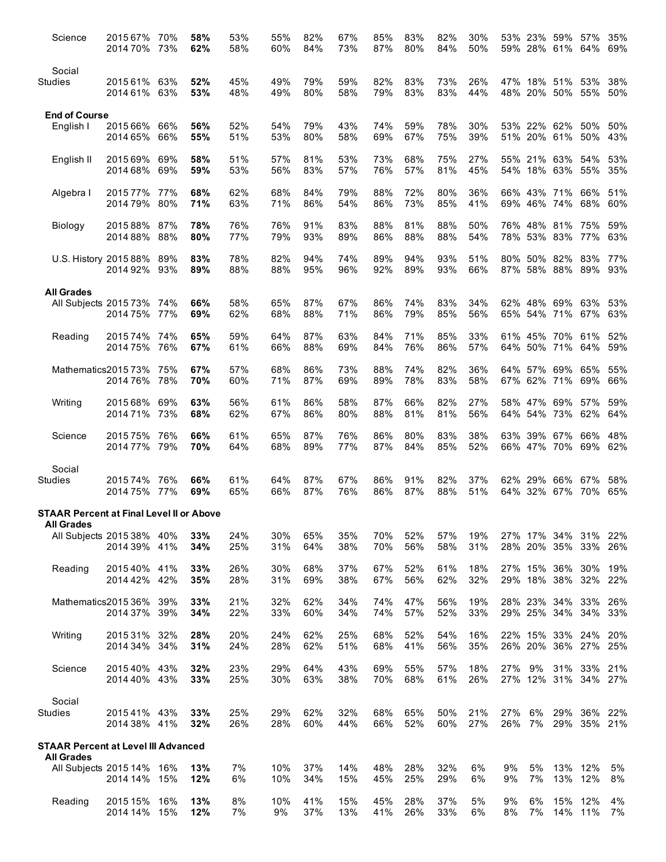| Science                                        | 2015 67%<br>2014 70%         | 70%<br>73% | 58%<br>62% | 53%<br>58% | 55%<br>60% | 82%<br>84% | 67%<br>73% | 85%<br>87% | 83%<br>80% | 82%<br>84% | 30%<br>50% |            |          | 53% 23% 59%<br>59% 28% 61%     | 57%<br>64%             | 35%<br>69% |
|------------------------------------------------|------------------------------|------------|------------|------------|------------|------------|------------|------------|------------|------------|------------|------------|----------|--------------------------------|------------------------|------------|
| Social<br>Studies                              | 2015 61% 63%<br>2014 61% 63% |            | 52%<br>53% | 45%<br>48% | 49%<br>49% | 79%<br>80% | 59%<br>58% | 82%<br>79% | 83%<br>83% | 73%<br>83% | 26%<br>44% |            |          | 47% 18% 51% 53%<br>48% 20% 50% | 55%                    | 38%<br>50% |
| <b>End of Course</b>                           |                              |            |            |            |            |            |            |            |            |            |            |            |          |                                |                        |            |
| English I                                      | 2015 66%<br>2014 65%         | 66%<br>66% | 56%<br>55% | 52%<br>51% | 54%<br>53% | 79%<br>80% | 43%<br>58% | 74%<br>69% | 59%<br>67% | 78%<br>75% | 30%<br>39% |            |          | 53% 22% 62%<br>51% 20% 61%     | 50%<br>50%             | 50%<br>43% |
| English II                                     | 2015 69%<br>2014 68%         | 69%<br>69% | 58%<br>59% | 51%<br>53% | 57%<br>56% | 81%<br>83% | 53%<br>57% | 73%<br>76% | 68%<br>57% | 75%<br>81% | 27%<br>45% |            |          | 55% 21% 63%<br>54% 18% 63%     | 54%<br>55%             | 53%<br>35% |
| Algebra I                                      | 2015 77% 77%<br>2014 79% 80% |            | 68%<br>71% | 62%<br>63% | 68%<br>71% | 84%<br>86% | 79%<br>54% | 88%<br>86% | 72%<br>73% | 80%<br>85% | 36%<br>41% |            |          | 66% 43% 71%<br>69% 46% 74%     | 66%<br>68%             | 51%<br>60% |
| Biology                                        | 2015 88% 87%<br>2014 88% 88% |            | 78%<br>80% | 76%<br>77% | 76%<br>79% | 91%<br>93% | 83%<br>89% | 88%<br>86% | 81%<br>88% | 88%<br>88% | 50%<br>54% |            |          | 76% 48% 81%<br>78% 53% 83%     | 75%<br>77%             | 59%<br>63% |
| U.S. History 2015 88% 89%                      | 2014 92% 93%                 |            | 83%<br>89% | 78%<br>88% | 82%<br>88% | 94%<br>95% | 74%<br>96% | 89%<br>92% | 94%<br>89% | 93%<br>93% | 51%<br>66% |            |          | 80% 50% 82%<br>87% 58% 88%     | 83%<br>89%             | 77%<br>93% |
| <b>All Grades</b>                              |                              |            |            |            |            |            |            |            |            |            |            |            |          |                                |                        |            |
| All Subjects 2015 73% 74%                      | 2014 75% 77%                 |            | 66%<br>69% | 58%<br>62% | 65%<br>68% | 87%<br>88% | 67%<br>71% | 86%<br>86% | 74%<br>79% | 83%<br>85% | 34%<br>56% |            |          | 62% 48% 69%<br>65% 54% 71%     | 63%<br>67%             | 53%<br>63% |
| Reading                                        | 2015 74%<br>2014 75% 76%     | 74%        | 65%<br>67% | 59%<br>61% | 64%<br>66% | 87%<br>88% | 63%<br>69% | 84%<br>84% | 71%<br>76% | 85%<br>86% | 33%<br>57% |            |          | 61% 45% 70%<br>64% 50% 71%     | 61%<br>64%             | 52%<br>59% |
| Mathematics201573%                             | 2014 76% 78%                 | 75%        | 67%<br>70% | 57%<br>60% | 68%<br>71% | 86%<br>87% | 73%<br>69% | 88%<br>89% | 74%<br>78% | 82%<br>83% | 36%<br>58% |            |          | 64% 57% 69%<br>67% 62% 71%     | 65%<br>69%             | 55%<br>66% |
| Writing                                        | 2015 68%<br>2014 71% 73%     | 69%        | 63%<br>68% | 56%<br>62% | 61%<br>67% | 86%<br>86% | 58%<br>80% | 87%<br>88% | 66%<br>81% | 82%<br>81% | 27%<br>56% |            |          | 58% 47% 69%<br>64% 54% 73%     | 57%<br>62%             | 59%<br>64% |
| Science                                        | 201575%<br>2014 77% 79%      | 76%        | 66%<br>70% | 61%<br>64% | 65%<br>68% | 87%<br>89% | 76%<br>77% | 86%<br>87% | 80%<br>84% | 83%<br>85% | 38%<br>52% |            |          | 63% 39% 67%<br>66% 47% 70%     | 66%<br>69%             | 48%<br>62% |
| Social                                         |                              |            |            |            |            |            |            |            |            |            |            |            |          |                                |                        |            |
| <b>Studies</b>                                 | 201574%<br>2014 75% 77%      | 76%        | 66%<br>69% | 61%<br>65% | 64%<br>66% | 87%<br>87% | 67%<br>76% | 86%<br>86% | 91%<br>87% | 82%<br>88% | 37%<br>51% |            |          | 62% 29% 66%<br>64% 32% 67%     | 67%<br>70%             | 58%<br>65% |
| STAAR Percent at Final Level II or Above       |                              |            |            |            |            |            |            |            |            |            |            |            |          |                                |                        |            |
| <b>All Grades</b><br>All Subjects 2015 38% 40% | 2014 39% 41%                 |            | 33%<br>34% | 24%<br>25% | 30%<br>31% | 65%<br>64% | 35%<br>38% | 70%<br>70% | 52%<br>56% | 57%<br>58% | 19%<br>31% |            |          | 28% 20% 35%                    | 27% 17% 34% 31%<br>33% | 22%<br>26% |
| Reading                                        | 2015 40% 41%<br>2014 42%     | 42%        | 33%<br>35% | 26%<br>28% | 30%<br>31% | 68%<br>69% | 37%<br>38% | 67%<br>67% | 52%<br>56% | 61%<br>62% | 18%<br>32% |            |          | 27% 15% 36%<br>29% 18% 38%     | 30%<br>32%             | 19%<br>22% |
| Mathematics201536%                             | 2014 37% 39%                 | 39%        | 33%<br>34% | 21%<br>22% | 32%<br>33% | 62%<br>60% | 34%<br>34% | 74%<br>74% | 47%<br>57% | 56%<br>52% | 19%<br>33% |            |          | 28% 23% 34%<br>29% 25% 34%     | 33%<br>34%             | 26%<br>33% |
| Writing                                        | 2015 31%<br>2014 34% 34%     | 32%        | 28%<br>31% | 20%<br>24% | 24%<br>28% | 62%<br>62% | 25%<br>51% | 68%<br>68% | 52%<br>41% | 54%<br>56% | 16%<br>35% |            |          | 22% 15% 33%<br>26% 20% 36%     | 24%<br>27%             | 20%<br>25% |
| Science                                        | 2015 40% 43%<br>2014 40% 43% |            | 32%<br>33% | 23%<br>25% | 29%<br>30% | 64%<br>63% | 43%<br>38% | 69%<br>70% | 55%<br>68% | 57%<br>61% | 18%<br>26% | 27%        | 9%       | 31%<br>27% 12% 31%             | 33%<br>34% 27%         | 21%        |
| Social<br>Studies                              | 201541% 43%<br>2014 38% 41%  |            | 33%<br>32% | 25%<br>26% | 29%<br>28% | 62%<br>60% | 32%<br>44% | 68%<br>66% | 65%<br>52% | 50%<br>60% | 21%<br>27% | 27%<br>26% | 6%<br>7% | 29%<br>29%                     | 36%<br>35%             | 22%<br>21% |
| <b>STAAR Percent at Level III Advanced</b>     |                              |            |            |            |            |            |            |            |            |            |            |            |          |                                |                        |            |
| <b>All Grades</b><br>All Subjects 2015 14% 16% | 2014 14% 15%                 |            | 13%<br>12% | 7%<br>6%   | 10%<br>10% | 37%<br>34% | 14%<br>15% | 48%<br>45% | 28%<br>25% | 32%<br>29% | 6%<br>6%   | 9%<br>9%   | 5%<br>7% | 13%<br>13%                     | 12%<br>12%             | 5%<br>8%   |
| Reading                                        | 2015 15%<br>2014 14% 15%     | 16%        | 13%<br>12% | 8%<br>7%   | 10%<br>9%  | 41%<br>37% | 15%<br>13% | 45%<br>41% | 28%<br>26% | 37%<br>33% | 5%<br>6%   | 9%<br>8%   | 6%<br>7% | 15%                            | 12%<br>14% 11%         | 4%<br>7%   |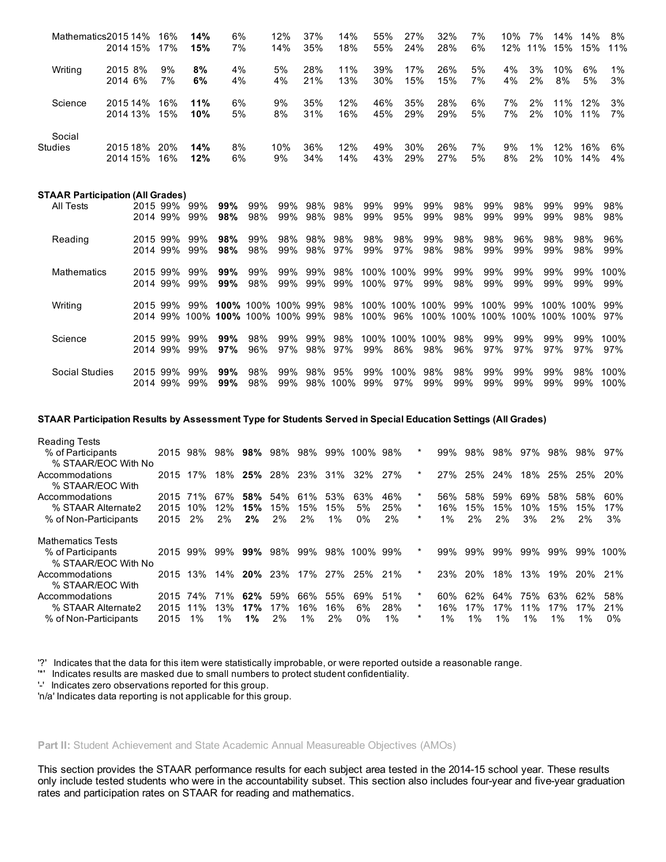| Mathematics2015 14%                     | 2014 15%             |              | 16%<br>17%                   | 14%<br>15%   | 6%<br>7%   |            | 12%<br>14%                                                     | 37%<br>35% | 14%<br>18%         | 55%<br>55% | 27%<br>24%  | 32%<br>28%                 |            | 7%<br>6%   | 10%<br>7%<br>12%     | 14%<br>11%<br>15%            | 14%<br>15%    | 8%<br>11%    |
|-----------------------------------------|----------------------|--------------|------------------------------|--------------|------------|------------|----------------------------------------------------------------|------------|--------------------|------------|-------------|----------------------------|------------|------------|----------------------|------------------------------|---------------|--------------|
| Writing                                 | 2015 8%<br>2014 6%   |              | 9%<br>7%                     | 8%<br>6%     | 4%<br>4%   |            | 5%<br>4%                                                       | 28%<br>21% | 11%<br>13%         | 39%<br>30% | 17%<br>15%  | 26%<br>15%                 |            | 5%<br>7%   | 4%<br>3%<br>4%<br>2% | 10%<br>8%                    | 6%<br>5%      | 1%<br>3%     |
| Science                                 | 2015 14%<br>2014 13% |              | 16%<br>15%                   | 11%<br>10%   | 6%<br>5%   |            | 9%<br>8%                                                       | 35%<br>31% | 12%<br>16%         | 46%<br>45% | 35%<br>29%  | 28%<br>29%                 |            | 6%<br>5%   | 7%<br>2%<br>7%<br>2% | 11%<br>10%                   | 12%<br>11%    | 3%<br>7%     |
| Social<br>Studies                       | 2014 15%             | 2015 18% 20% | 16%                          | 14%<br>12%   | 8%<br>6%   |            | 10%<br>9%                                                      | 36%<br>34% | 12%<br>14%         | 49%<br>43% | 30%<br>29%  | 26%<br>27%                 |            | 7%<br>5%   | 9%<br>1%<br>8%<br>2% | 12%<br>10%                   | 16%<br>14%    | 6%<br>4%     |
| <b>STAAR Participation (All Grades)</b> |                      |              |                              |              | 99%        |            |                                                                |            |                    |            |             |                            | 98%        |            | 98%                  |                              |               | 98%          |
| All Tests                               |                      |              | 2015 99% 99%<br>2014 99% 99% |              | 98%        | 99%<br>98% | 99%<br>99%                                                     | 98%<br>98% | 98%<br>98%         | 99%<br>99% | 99%<br>95%  | 99%<br>99%                 | 98%        | 99%<br>99% | 99%                  | 99%<br>99%                   | 99%<br>98%    | 98%          |
| Reading                                 |                      |              | 2015 99%<br>2014 99%         | 99%<br>99%   | 98%<br>98% | 99%<br>98% | 98%<br>99%                                                     |            | 98% 98%<br>98% 97% | 98%<br>99% | 98%<br>97%  | 99%<br>98%                 | 98%<br>98% | 98%<br>99% | 96%<br>99%           | 98%<br>99%                   | 98%<br>98%    | 96%<br>99%   |
| <b>Mathematics</b>                      |                      |              | 2015 99%<br>2014 99%         | 99%<br>99%   | 99%<br>99% | 99%<br>98% | 99%<br>99%                                                     | 99%        | 98%<br>99% 99%     | 100% 97%   | 100% 100%   | 99%<br>99%                 | 99%<br>98% | 99%<br>99% | 99%<br>99%           | 99%<br>99%                   | 99%<br>99%    | 100%<br>99%  |
| Writing                                 |                      |              |                              | 2015 99% 99% |            |            | 100% 100% 100% 99% 98%<br>2014 99% 100% 100% 100% 100% 99% 98% |            |                    |            | 100% 96%    | 100% 100% 100% 99%<br>100% |            | 100%       | 99%                  | 100% 100% 100% 100% 100% 97% | 100% 100% 99% |              |
| Science                                 |                      |              | 2015 99%<br>2014 99%         | 99%<br>99%   | 99%<br>97% | 98%<br>96% | 99%<br>97%                                                     | 99%<br>98% | 98%<br>97%         | 99%        | 86%         | 100% 100% 100%<br>98%      | 98%<br>96% | 99%<br>97% | 99%<br>97%           | 99%<br>97%                   | 99%<br>97%    | 100%<br>97%  |
| <b>Social Studies</b>                   |                      |              | 2015 99%<br>2014 99%         | 99%<br>99%   | 99%<br>99% | 98%<br>98% | 99%<br>99%                                                     | 98%        | 95%<br>98% 100%    | 99%<br>99% | 100%<br>97% | 98%<br>99%                 | 98%<br>99% | 99%<br>99% | 99%<br>99%           | 99%<br>99%                   | 98%<br>99%    | 100%<br>100% |

## STAAR Participation Results by Assessment Type for Students Served in Special Education Settings (All Grades)

| <b>Reading Tests</b>                        |      |     |     |            |     |           |       |      |     |   |       |            |     |     |     |            |            |
|---------------------------------------------|------|-----|-----|------------|-----|-----------|-------|------|-----|---|-------|------------|-----|-----|-----|------------|------------|
| % of Participants                           | 2015 | 98% | 98% | 98%        | 98% | 98%       | 99%   | 100% | 98% | * | 99%   | 98%        | 98% | 97% | 98% | 98%        | 97%        |
| % STAAR/EOC With No                         |      |     |     |            |     |           |       |      |     |   |       |            |     |     |     |            |            |
| Accommodations                              | 2015 | 17% | 18% | 25%        | 28% | 23%       | 31%   | 32%  | 27% | * | 27%   | 25%        | 24% | 18% | 25% | 25%        | <b>20%</b> |
| % STAAR/EOC With                            |      |     |     |            |     |           |       |      |     |   |       |            |     |     |     |            |            |
| Accommodations                              | 2015 | 71% | 67% | 58%        | 54% | 61%       | 53%   | 63%  | 46% | * | 56%   | 58%        | 59% | 69% | 58% | 58%        | 60%        |
| % STAAR Alternate2                          | 2015 | 10% | 12% | 15%        | 15% | 15%       | 15%   | 5%   | 25% | * | 16%   | 15%        | 15% | 10% | 15% | 15%        | 17%        |
| % of Non-Participants                       | 2015 | 2%  | 2%  | 2%         | 2%  | 2%        | $1\%$ | 0%   | 2%  | * | $1\%$ | 2%         | 2%  | 3%  | 2%  | 2%         | 3%         |
| <b>Mathematics Tests</b>                    |      |     |     |            |     |           |       |      |     |   |       |            |     |     |     |            |            |
| % of Participants                           | 2015 | 99% | 99% | 99%        | 98% | 99%       | 98%   | 100% | 99% | * | 99%   | 99%        | 99% | 99% | 99% | 99%        | 100%       |
| % STAAR/EOC With No                         |      |     |     |            |     |           |       |      |     |   |       |            |     |     |     |            |            |
| Accommodations                              | 2015 | 13% | 14% | <b>20%</b> | 23% | 17%       | 27%   | 25%  | 21% | * | 23%   | <b>20%</b> | 18% | 13% | 19% | <b>20%</b> | 21%        |
| % STAAR/EOC With                            |      |     |     |            |     |           |       |      |     |   |       |            |     |     |     |            |            |
| Accommodations                              |      |     |     |            |     |           |       |      |     | * |       |            |     |     |     |            |            |
|                                             | 2015 | 74% | 71% | 62%        | 59% | 66%       | 55%   | 69%  | 51% |   | 60%   | 62%        | 64% | 75% | 63% | 62%        | 58%        |
| % STAAR Alternate2<br>% of Non-Participants | 2015 | 11% | 13% | 17%        | 17% | 16%<br>1% | 16%   | 6%   | 28% | * | 16%   | 17%        | 17% | 11% | 17% | 17%        | 21%        |

'?' Indicates that the data for this item were statistically improbable, or were reported outside a reasonable range.

'\*' Indicates results are masked due to small numbers to protect student confidentiality.

'' Indicates zero observations reported for this group.

'n/a' Indicates data reporting is not applicable for this group.

## Part II: Student Achievement and State Academic Annual Measureable Objectives (AMOs)

This section provides the STAAR performance results for each subject area tested in the 2014-15 school year. These results only include tested students who were in the accountability subset. This section also includes four-year and five-year graduation rates and participation rates on STAAR for reading and mathematics.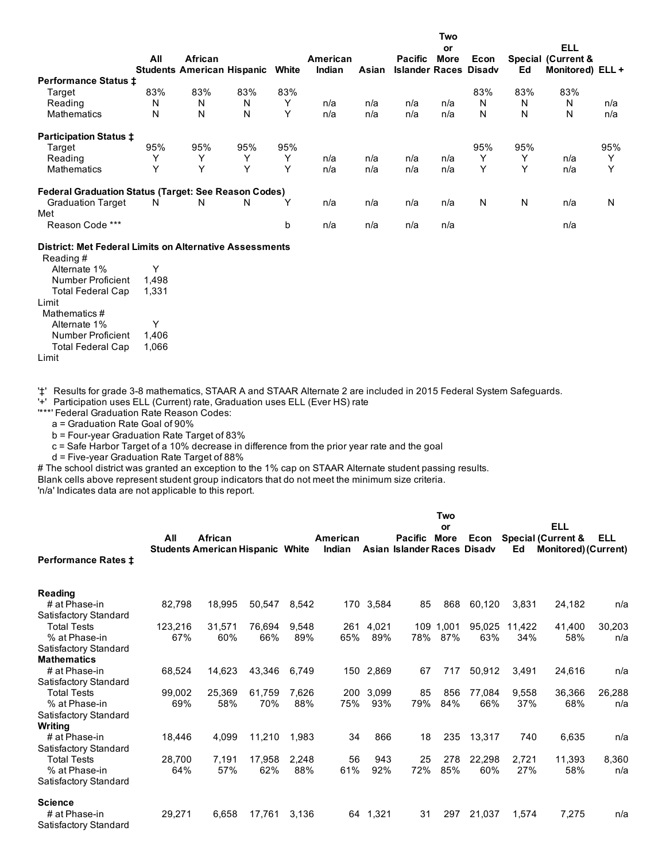|                                                             |     |                                              |     |              |                    |       |                                                | Two<br>or   |      |     | <b>ELL</b>                                        |              |
|-------------------------------------------------------------|-----|----------------------------------------------|-----|--------------|--------------------|-------|------------------------------------------------|-------------|------|-----|---------------------------------------------------|--------------|
|                                                             | All | African<br><b>Students American Hispanic</b> |     | White        | American<br>Indian | Asian | <b>Pacific</b><br><b>Islander Races Disady</b> | <b>More</b> | Econ | Ed  | <b>Special (Current &amp;</b><br>Monitored) ELL + |              |
| <b>Performance Status ±</b>                                 |     |                                              |     |              |                    |       |                                                |             |      |     |                                                   |              |
| Target                                                      | 83% | 83%                                          | 83% | 83%          |                    |       |                                                |             | 83%  | 83% | 83%                                               |              |
| Reading                                                     | N   | N                                            | N   | Y            | n/a                | n/a   | n/a                                            | n/a         | N    | N   | N                                                 | n/a          |
| <b>Mathematics</b>                                          | N   | N                                            | N   | Υ            | n/a                | n/a   | n/a                                            | n/a         | N    | N   | Ν                                                 | n/a          |
| <b>Participation Status ‡</b>                               |     |                                              |     |              |                    |       |                                                |             |      |     |                                                   |              |
| Target                                                      | 95% | 95%                                          | 95% | 95%          |                    |       |                                                |             | 95%  | 95% |                                                   | 95%          |
| Reading                                                     | v   | Υ                                            | Υ   | Y            | n/a                | n/a   | n/a                                            | n/a         | Υ    | Y   | n/a                                               | Υ            |
| <b>Mathematics</b>                                          | Y   | Y                                            | Υ   | Υ            | n/a                | n/a   | n/a                                            | n/a         | Υ    | Υ   | n/a                                               | $\checkmark$ |
| <b>Federal Graduation Status (Target: See Reason Codes)</b> |     |                                              |     |              |                    |       |                                                |             |      |     |                                                   |              |
| <b>Graduation Target</b><br>Met                             | N   | N                                            | N   | $\checkmark$ | n/a                | n/a   | n/a                                            | n/a         | N    | N   | n/a                                               | N            |
| Reason Code ***                                             |     |                                              |     | b            | n/a                | n/a   | n/a                                            | n/a         |      |     | n/a                                               |              |

#### District: Met Federal Limits on Alternative Assessments

Reading # Alternate 1% Y Number Proficient 1,498 Total Federal Cap Limit 1,331 Mathematics # Alternate 1% Y<br>Number Proficient 1,406 Number Proficient Total Federal Cap Limit 1,066

'‡' Results for grade 3-8 mathematics, STAAR A and STAAR Alternate 2 are included in 2015 Federal System Safeguards.

'+' Participation uses ELL (Current) rate, Graduation uses ELL (Ever HS) rate

'\*\*\*' Federal Graduation Rate Reason Codes:

a = Graduation Rate Goal of 90%

 $b$  = Four-year Graduation Rate Target of 83%

c = Safe Harbor Target of a 10% decrease in difference from the prior year rate and the goal

 $d$  = Five-year Graduation Rate Target of 88%

# The school district was granted an exception to the 1% cap on STAAR Alternate student passing results.

Blank cells above represent student group indicators that do not meet the minimum size criteria.

'n/a' Indicates data are not applicable to this report.

|                                        |         |                                         |        |       |          |           |                             | Two       |        |        |                               |        |
|----------------------------------------|---------|-----------------------------------------|--------|-------|----------|-----------|-----------------------------|-----------|--------|--------|-------------------------------|--------|
|                                        |         |                                         |        |       |          |           |                             | or        |        |        | <b>ELL</b>                    |        |
|                                        | All     | African                                 |        |       | American |           | <b>Pacific</b>              | More      | Econ   |        | <b>Special (Current &amp;</b> | ELL    |
| <b>Performance Rates ‡</b>             |         | <b>Students American Hispanic White</b> |        |       | Indian   |           | Asian Islander Races Disadv |           |        | Ed     | <b>Monitored) (Current)</b>   |        |
| Reading                                |         |                                         |        |       |          |           |                             |           |        |        |                               |        |
| # at Phase-in<br>Satisfactory Standard | 82,798  | 18,995                                  | 50,547 | 8,542 |          | 170 3,584 | 85                          | 868       | 60,120 | 3,831  | 24,182                        | n/a    |
| <b>Total Tests</b>                     | 123,216 | 31,571                                  | 76,694 | 9,548 | 261      | 4,021     |                             | 109 1,001 | 95,025 | 11,422 | 41,400                        | 30,203 |
| % at Phase-in                          | 67%     | 60%                                     | 66%    | 89%   | 65%      | 89%       | 78%                         | 87%       | 63%    | 34%    | 58%                           | n/a    |
| Satisfactory Standard                  |         |                                         |        |       |          |           |                             |           |        |        |                               |        |
| <b>Mathematics</b>                     |         |                                         |        |       |          |           |                             |           |        |        |                               |        |
| # at Phase-in                          | 68,524  | 14,623                                  | 43,346 | 6.749 |          | 150 2,869 | 67                          | 717       | 50,912 | 3,491  | 24.616                        | n/a    |
| Satisfactory Standard                  |         |                                         |        |       |          |           |                             |           |        |        |                               |        |
| <b>Total Tests</b>                     | 99,002  | 25,369                                  | 61,759 | 7.626 | 200      | 3,099     | 85                          | 856       | 77.084 | 9,558  | 36,366                        | 26,288 |
| % at Phase-in                          | 69%     | 58%                                     | 70%    | 88%   | 75%      | 93%       | 79%                         | 84%       | 66%    | 37%    | 68%                           | n/a    |
| Satisfactory Standard                  |         |                                         |        |       |          |           |                             |           |        |        |                               |        |
| Writing                                |         |                                         |        |       |          |           |                             |           |        |        |                               |        |
| # at Phase-in                          | 18,446  | 4,099                                   | 11,210 | 1.983 | 34       | 866       | 18                          | 235       | 13,317 | 740    | 6,635                         | n/a    |
| Satisfactory Standard                  |         |                                         |        |       |          |           |                             |           |        |        |                               |        |
| <b>Total Tests</b>                     | 28,700  | 7,191                                   | 17,958 | 2,248 | 56       | 943       | 25                          | 278       | 22,298 | 2.721  | 11,393                        | 8,360  |
| % at Phase-in                          | 64%     | 57%                                     | 62%    | 88%   | 61%      | 92%       | 72%                         | 85%       | 60%    | 27%    | 58%                           | n/a    |
| Satisfactory Standard                  |         |                                         |        |       |          |           |                             |           |        |        |                               |        |
| <b>Science</b>                         |         |                                         |        |       |          |           |                             |           |        |        |                               |        |
| # at Phase-in                          | 29,271  | 6,658                                   | 17,761 | 3,136 |          | 64 1,321  | 31                          | 297       | 21,037 | 1,574  | 7,275                         | n/a    |
| Satisfactory Standard                  |         |                                         |        |       |          |           |                             |           |        |        |                               |        |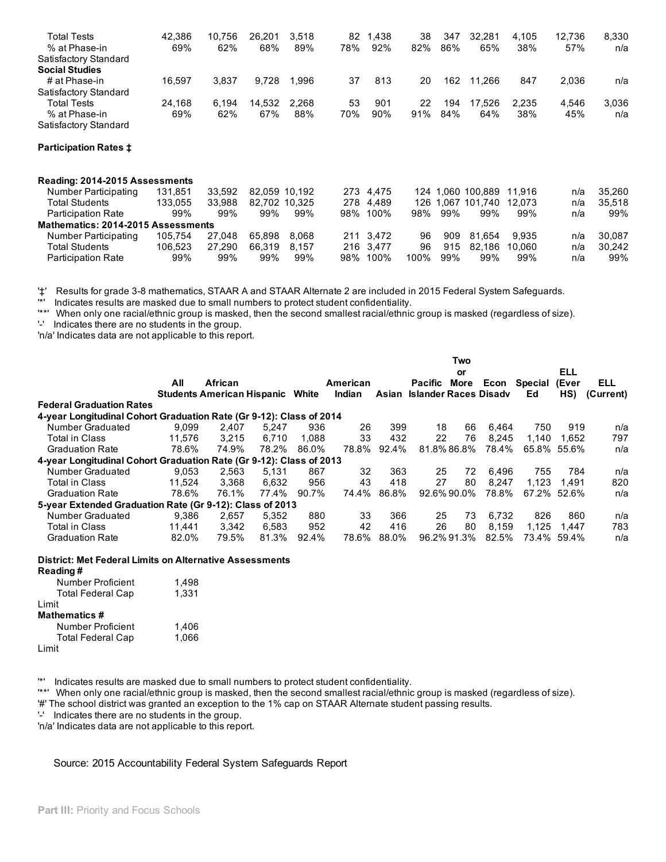| <b>Total Tests</b><br>% at Phase-in<br>Satisfactory Standard | 42,386<br>69% | 10,756<br>62% | 26.201<br>68% | 3,518<br>89%  | 82<br>78% | 1,438<br>92% | 38<br>82% | 347<br>86% | 32,281<br>65%     | 4,105<br>38% | 12,736<br>57% | 8,330<br>n/a |
|--------------------------------------------------------------|---------------|---------------|---------------|---------------|-----------|--------------|-----------|------------|-------------------|--------------|---------------|--------------|
| <b>Social Studies</b><br># at Phase-in                       | 16,597        | 3,837         | 9,728         | 1,996         | 37        | 813          | 20        | 162        | 11,266            | 847          | 2,036         |              |
| Satisfactory Standard                                        |               |               |               |               |           |              |           |            |                   |              |               | n/a          |
| <b>Total Tests</b>                                           | 24,168        | 6,194         | 14,532        | 2.268         | 53        | 901          | 22        | 194        | 17.526            | 2.235        | 4,546         | 3,036        |
| % at Phase-in                                                | 69%           | 62%           | 67%           | 88%           | 70%       | 90%          | 91%       | 84%        | 64%               | 38%          | 45%           | n/a          |
| Satisfactory Standard                                        |               |               |               |               |           |              |           |            |                   |              |               |              |
| <b>Participation Rates ‡</b>                                 |               |               |               |               |           |              |           |            |                   |              |               |              |
| Reading: 2014-2015 Assessments                               |               |               |               |               |           |              |           |            |                   |              |               |              |
| Number Participating                                         | 131.851       | 33.592        |               | 82.059 10.192 |           | 273 4,475    |           |            | 124 1.060 100.889 | 11.916       | n/a           | 35,260       |
| <b>Total Students</b>                                        | 133.055       | 33.988        |               | 82.702 10.325 |           | 278 4.489    | 126       |            | 1.067 101.740     | 12.073       | n/a           | 35,518       |
| <b>Participation Rate</b>                                    | 99%           | 99%           | 99%           | 99%           | 98%       | 100%         | 98%       | 99%        | 99%               | 99%          | n/a           | 99%          |
| Mathematics: 2014-2015 Assessments                           |               |               |               |               |           |              |           |            |                   |              |               |              |
| Number Participating                                         | 105,754       | 27.048        | 65.898        | 8.068         |           | 211 3,472    | 96        | 909        | 81.654            | 9.935        | n/a           | 30,087       |
| <b>Total Students</b>                                        | 106,523       | 27,290        | 66,319        | 8.157         |           | 216 3.477    | 96        | 915        | 82.186            | 10.060       | n/a           | 30,242       |
| <b>Participation Rate</b>                                    | 99%           | 99%           | 99%           | 99%           | 98%       | 100%         | 100%      | 99%        | 99%               | 99%          | n/a           | 99%          |

'‡' Results for grade 38 mathematics, STAAR A and STAAR Alternate 2 are included in 2015 Federal System Safeguards.

Indicates results are masked due to small numbers to protect student confidentiality.

'\*\*' When only one racial/ethnic group is masked, then the second smallest racial/ethnic group is masked (regardless of size).

'' Indicates there are no students in the group.

'n/a' Indicates data are not applicable to this report.

|                                                                     |        |                                   |       |       |          |       |                             | Two         |       |         |             |            |
|---------------------------------------------------------------------|--------|-----------------------------------|-------|-------|----------|-------|-----------------------------|-------------|-------|---------|-------------|------------|
|                                                                     |        |                                   |       |       |          |       |                             | or          |       |         | <b>ELL</b>  |            |
|                                                                     | All    | African                           |       |       | American |       | Pacific                     | More        | Econ  | Special | (Ever       | <b>ELL</b> |
|                                                                     |        | <b>Students American Hispanic</b> |       | White | Indian   |       | Asian Islander Races Disady |             |       | Ed      | HS)         | (Current)  |
| <b>Federal Graduation Rates</b>                                     |        |                                   |       |       |          |       |                             |             |       |         |             |            |
| 4-year Longitudinal Cohort Graduation Rate (Gr 9-12): Class of 2014 |        |                                   |       |       |          |       |                             |             |       |         |             |            |
| Number Graduated                                                    | 9.099  | 2.407                             | 5.247 | 936   | 26       | 399   | 18                          | 66          | 6.464 | 750     | 919         | n/a        |
| <b>Total in Class</b>                                               | 11.576 | 3.215                             | 6.710 | 1.088 | 33       | 432   | 22                          | 76          | 8.245 | 1.140   | 1.652       | 797        |
| <b>Graduation Rate</b>                                              | 78.6%  | 74.9%                             | 78.2% | 86.0% | 78.8%    | 92.4% |                             | 81.8% 86.8% | 78.4% |         | 65.8% 55.6% | n/a        |
| 4-year Longitudinal Cohort Graduation Rate (Gr 9-12): Class of 2013 |        |                                   |       |       |          |       |                             |             |       |         |             |            |
| Number Graduated                                                    | 9.053  | 2.563                             | 5.131 | 867   | 32       | 363   | 25                          | 72          | 6.496 | 755     | 784         | n/a        |
| <b>Total in Class</b>                                               | 11.524 | 3.368                             | 6.632 | 956   | 43       | 418   | 27                          | 80          | 8.247 | 1.123   | 1.491       | 820        |
| <b>Graduation Rate</b>                                              | 78.6%  | 76.1%                             | 77.4% | 90.7% | 74.4%    | 86.8% |                             | 92.6% 90.0% | 78.8% |         | 67.2% 52.6% | n/a        |
| 5-year Extended Graduation Rate (Gr 9-12): Class of 2013            |        |                                   |       |       |          |       |                             |             |       |         |             |            |
| Number Graduated                                                    | 9.386  | 2.657                             | 5.352 | 880   | 33       | 366   | 25                          | 73          | 6.732 | 826     | 860         | n/a        |
| Total in Class                                                      | 11.441 | 3.342                             | 6.583 | 952   | 42       | 416   | 26                          | 80          | 8.159 | 1.125   | 1.447       | 783        |
| <b>Graduation Rate</b>                                              | 82.0%  | 79.5%                             | 81.3% | 92.4% | 78.6%    | 88.0% |                             | 96.2% 91.3% | 82.5% |         | 73.4% 59.4% | n/a        |

#### District: Met Federal Limits on Alternative Assessments

| Reading#                 |       |
|--------------------------|-------|
| <b>Number Proficient</b> | 1.498 |
| <b>Total Federal Cap</b> | 1.331 |
| Limit                    |       |
| <b>Mathematics #</b>     |       |
| Number Proficient        | 1,406 |
| <b>Total Federal Cap</b> | 1.066 |
| Limit                    |       |

'\*' Indicates results are masked due to small numbers to protect student confidentiality.

'\*\*' When only one racial/ethnic group is masked, then the second smallest racial/ethnic group is masked (regardless of size).

'#' The school district was granted an exception to the 1% cap on STAAR Alternate student passing results.

'' Indicates there are no students in the group.

'n/a' Indicates data are not applicable to this report.

## Source: 2015 Accountability Federal System Safeguards Report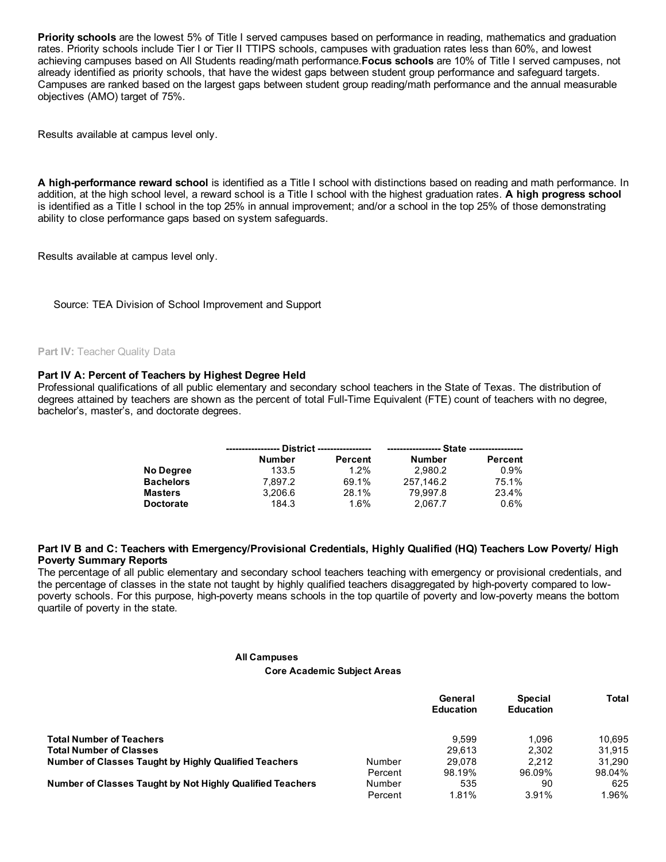Priority schools are the lowest 5% of Title I served campuses based on performance in reading, mathematics and graduation rates. Priority schools include Tier I or Tier II TTIPS schools, campuses with graduation rates less than 60%, and lowest achieving campuses based on All Students reading/math performance. Focus schools are 10% of Title I served campuses, not already identified as priority schools, that have the widest gaps between student group performance and safeguard targets. Campuses are ranked based on the largest gaps between student group reading/math performance and the annual measurable objectives (AMO) target of 75%.

Results available at campus level only.

A high-performance reward school is identified as a Title I school with distinctions based on reading and math performance. In addition, at the high school level, a reward school is a Title I school with the highest graduation rates. A high progress school is identified as a Title I school in the top 25% in annual improvement; and/or a school in the top 25% of those demonstrating ability to close performance gaps based on system safeguards.

Results available at campus level only.

Source: TEA Division of School Improvement and Support

## Part IV: Teacher Quality Data

## Part IV A: Percent of Teachers by Highest Degree Held

Professional qualifications of all public elementary and secondary school teachers in the State of Texas. The distribution of degrees attained by teachers are shown as the percent of total Full-Time Equivalent (FTE) count of teachers with no degree, bachelor's, master's, and doctorate degrees.

|                  | <b>Number</b> | Percent | Number    | Percent |  |  |  |
|------------------|---------------|---------|-----------|---------|--|--|--|
| No Degree        | 133.5         | $1.2\%$ | 2.980.2   | $0.9\%$ |  |  |  |
| <b>Bachelors</b> | 7.897.2       | 69.1%   | 257.146.2 | 75.1%   |  |  |  |
| <b>Masters</b>   | 3.206.6       | 28.1%   | 79.997.8  | 23.4%   |  |  |  |
| <b>Doctorate</b> | 184.3         | 1.6%    | 2.067.7   | 0.6%    |  |  |  |

## Part IV B and C: Teachers with Emergency/Provisional Credentials, Highly Qualified (HQ) Teachers Low Poverty/ High Poverty Summary Reports

The percentage of all public elementary and secondary school teachers teaching with emergency or provisional credentials, and the percentage of classes in the state not taught by highly qualified teachers disaggregated by high-poverty compared to lowpoverty schools. For this purpose, high-poverty means schools in the top quartile of poverty and low-poverty means the bottom quartile of poverty in the state.

#### All Campuses

Core Academic Subject Areas

|                                                              |         | General<br><b>Education</b> | <b>Special</b><br><b>Education</b> | Total  |
|--------------------------------------------------------------|---------|-----------------------------|------------------------------------|--------|
| <b>Total Number of Teachers</b>                              |         | 9.599                       | 1.096                              | 10.695 |
| <b>Total Number of Classes</b>                               |         | 29.613                      | 2.302                              | 31.915 |
| <b>Number of Classes Taught by Highly Qualified Teachers</b> | Number  | 29.078                      | 2.212                              | 31.290 |
|                                                              | Percent | 98.19%                      | 96.09%                             | 98.04% |
| Number of Classes Taught by Not Highly Qualified Teachers    | Number  | 535                         | 90                                 | 625    |
|                                                              | Percent | 1.81%                       | 3.91%                              | 1.96%  |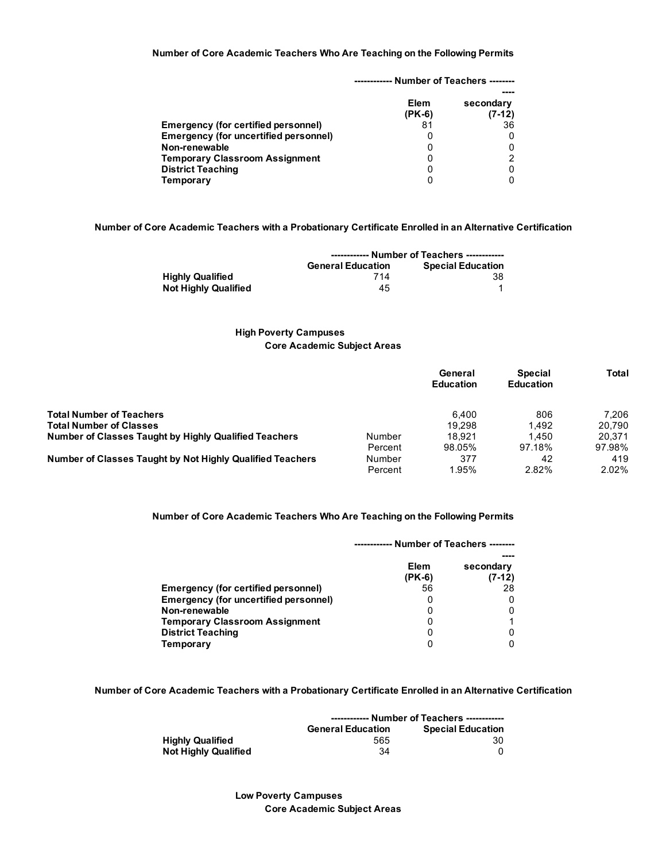## Number of Core Academic Teachers Who Are Teaching on the Following Permits

|                                            |                  | - Number of Teachers -------- |
|--------------------------------------------|------------------|-------------------------------|
|                                            | Elem<br>$(PK-6)$ | secondary<br>$(7-12)$         |
| <b>Emergency (for certified personnel)</b> | 81               | 36                            |
| Emergency (for uncertified personnel)      | 0                |                               |
| Non-renewable                              | 0                |                               |
| <b>Temporary Classroom Assignment</b>      | 0                |                               |
| <b>District Teaching</b>                   | 0                |                               |
| Temporary                                  | 0                |                               |

## Number of Core Academic Teachers with a Probationary Certificate Enrolled in an Alternative Certification

|                             | ------------ Number of Teachers ------------         |    |  |
|-----------------------------|------------------------------------------------------|----|--|
|                             | <b>Special Education</b><br><b>General Education</b> |    |  |
| <b>Highly Qualified</b>     | 714                                                  | 38 |  |
| <b>Not Highly Qualified</b> | 45                                                   |    |  |

# High Poverty Campuses Core Academic Subject Areas

|                                                              |         | General<br><b>Education</b> | <b>Special</b><br><b>Education</b> | Total    |
|--------------------------------------------------------------|---------|-----------------------------|------------------------------------|----------|
| <b>Total Number of Teachers</b>                              |         | 6.400                       | 806                                | 7.206    |
| <b>Total Number of Classes</b>                               |         | 19.298                      | 1.492                              | 20.790   |
| <b>Number of Classes Taught by Highly Qualified Teachers</b> | Number  | 18.921                      | 1.450                              | 20.371   |
|                                                              | Percent | 98.05%                      | 97.18%                             | 97.98%   |
| Number of Classes Taught by Not Highly Qualified Teachers    | Number  | 377                         | 42                                 | 419      |
|                                                              | Percent | 1.95%                       | 2.82%                              | $2.02\%$ |

## Number of Core Academic Teachers Who Are Teaching on the Following Permits

|                                              | Number of Teachers -------- |                       |  |
|----------------------------------------------|-----------------------------|-----------------------|--|
|                                              | Elem<br>$(PK-6)$            | secondary<br>$(7-12)$ |  |
| Emergency (for certified personnel)          | 56                          | 28                    |  |
| <b>Emergency (for uncertified personnel)</b> | O                           |                       |  |
| Non-renewable                                | 0                           |                       |  |
| <b>Temporary Classroom Assignment</b>        | 0                           |                       |  |
| <b>District Teaching</b>                     | 0                           |                       |  |
| Temporary                                    | 0                           |                       |  |

## Number of Core Academic Teachers with a Probationary Certificate Enrolled in an Alternative Certification

|                             | ------------ Number of Teachers ------------ |                          |
|-----------------------------|----------------------------------------------|--------------------------|
|                             | <b>General Education</b>                     | <b>Special Education</b> |
| <b>Highly Qualified</b>     | 565                                          | 30                       |
| <b>Not Highly Qualified</b> | 34                                           |                          |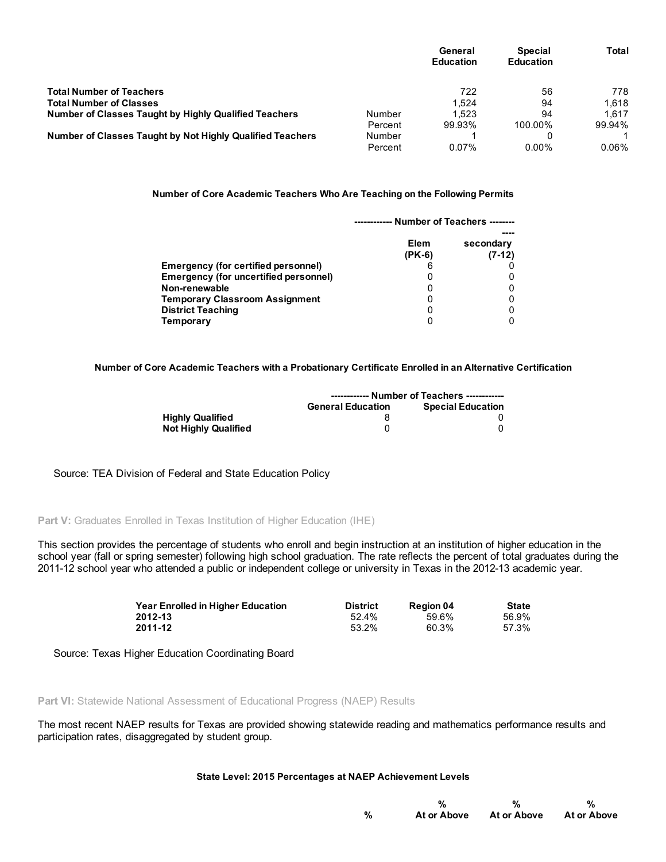|                                                              |         | General<br><b>Education</b> | <b>Special</b><br><b>Education</b> | Total    |
|--------------------------------------------------------------|---------|-----------------------------|------------------------------------|----------|
| <b>Total Number of Teachers</b>                              |         | 722                         | 56                                 | 778      |
| <b>Total Number of Classes</b>                               |         | 1.524                       | 94                                 | 1.618    |
| <b>Number of Classes Taught by Highly Qualified Teachers</b> | Number  | 1.523                       | 94                                 | 1.617    |
|                                                              | Percent | 99.93%                      | 100.00%                            | 99.94%   |
| Number of Classes Taught by Not Highly Qualified Teachers    | Number  |                             |                                    |          |
|                                                              | Percent | $0.07\%$                    | $0.00\%$                           | $0.06\%$ |

## Number of Core Academic Teachers Who Are Teaching on the Following Permits

|                                            | ------------ Number of Teachers -------- |                       |  |
|--------------------------------------------|------------------------------------------|-----------------------|--|
|                                            | <b>Elem</b><br>(PK-6)                    | secondary<br>$(7-12)$ |  |
| <b>Emergency (for certified personnel)</b> |                                          |                       |  |
| Emergency (for uncertified personnel)      |                                          |                       |  |
| Non-renewable                              |                                          |                       |  |
| <b>Temporary Classroom Assignment</b>      |                                          |                       |  |
| <b>District Teaching</b>                   | 0                                        |                       |  |
| Temporary                                  |                                          |                       |  |

# Number of Core Academic Teachers with a Probationary Certificate Enrolled in an Alternative Certification

|                             | ------------ Number of Teachers ------------ |                          |
|-----------------------------|----------------------------------------------|--------------------------|
|                             | <b>General Education</b>                     | <b>Special Education</b> |
| <b>Highly Qualified</b>     |                                              |                          |
| <b>Not Highly Qualified</b> |                                              |                          |

# Source: TEA Division of Federal and State Education Policy

# Part V: Graduates Enrolled in Texas Institution of Higher Education (IHE)

This section provides the percentage of students who enroll and begin instruction at an institution of higher education in the school year (fall or spring semester) following high school graduation. The rate reflects the percent of total graduates during the 201112 school year who attended a public or independent college or university in Texas in the 201213 academic year.

| <b>Year Enrolled in Higher Education</b> | <b>District</b> | <b>Region 04</b> | <b>State</b> |
|------------------------------------------|-----------------|------------------|--------------|
| 2012-13                                  | 52.4%           | 59.6%            | 56.9%        |
| 2011-12                                  | 53.2%           | 60.3%            | 57.3%        |

Source: Texas Higher Education Coordinating Board

Part VI: Statewide National Assessment of Educational Progress (NAEP) Results

The most recent NAEP results for Texas are provided showing statewide reading and mathematics performance results and participation rates, disaggregated by student group.

## State Level: 2015 Percentages at NAEP Achievement Levels

|   |             | %           | %           |
|---|-------------|-------------|-------------|
| % | At or Above | At or Above | At or Above |